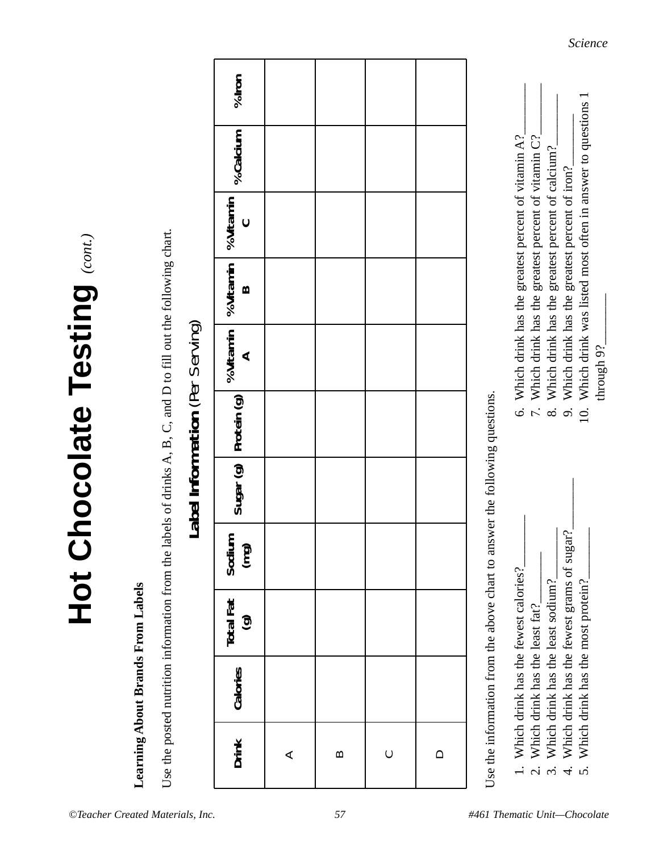*©Teacher Created Materials, Inc. 57 #461 Thematic Unit—Chocolate*

# **Learning About Brands From Labels Learning About Brands From Labels**

**Hot Chocolate Testing** *(cont.)*

Hot Chocolate Testing (cont.)

Use the posted nutrition information from the labels of drinks A, B, C, and D to fill out the following chart. Use the posted nutrition information from the labels of drinks A, B, C, and D to fill out the following chart.

## Label Information (Per Serving) **Label Information** (Per Serving)

| $%$ Iron                                                                                                                                                                                                                       |                 |          |                     |  |
|--------------------------------------------------------------------------------------------------------------------------------------------------------------------------------------------------------------------------------|-----------------|----------|---------------------|--|
|                                                                                                                                                                                                                                |                 |          |                     |  |
|                                                                                                                                                                                                                                |                 |          |                     |  |
|                                                                                                                                                                                                                                |                 |          |                     |  |
|                                                                                                                                                                                                                                |                 |          |                     |  |
| Sugar (g) $\begin{bmatrix} \text{Protein (g)} \\ \text{A} \end{bmatrix}$ % Vitamin $\begin{bmatrix} \text{% Vitanin} \\ \text{B} \end{bmatrix}$ % Vitamin $\begin{bmatrix} \text{% Galcium} \\ \text{% Galcium} \end{bmatrix}$ |                 |          |                     |  |
|                                                                                                                                                                                                                                |                 |          |                     |  |
| Sodium<br>(mg)                                                                                                                                                                                                                 |                 |          |                     |  |
| Calories Total Fat                                                                                                                                                                                                             |                 |          |                     |  |
|                                                                                                                                                                                                                                |                 |          |                     |  |
| Drink                                                                                                                                                                                                                          | $\triangleleft$ | $\infty$ | $\circlearrowright$ |  |

Use the information from the above chart to answer the following questions. Use the information from the above chart to answer the following questions.

- 1. Which drink has the fewest calories? Which drink has the fewest calories?
	- 2. Which drink has the least fat? Which drink has the least fat?  $\overline{\Omega}$
- 3. Which drink has the least sodium?<br>4. Which drink has the fewest grams of sugar?<br>5. Which drink has the most protein? 3. Which drink has the least sodium?
- 4. Which drink has the fewest grams of sugar?
	- 5. Which drink has the most protein?

7. Which drink has the greatest percent of vitamin  $C^2$ 10. Which drink was listed most often in answer to questions 1 8. Which drink has the greatest percent of calcium? Which drink was listed most often in answer to questions 1 9. Which drink has the greatest percent of iron? Which drink has the greatest percent of vitamin C? 8. Which drink has the greatest percent of calcium? 9. Which drink has the greatest percent of iron? through 9?  $\overline{r}$ .

through 9?\_\_\_\_\_\_\_\_

 $\overline{c}$ 

6. Which drink has the greatest percent of vitamin  $A?$ 

Which drink has the greatest percent of vitamin A?

 $\circ$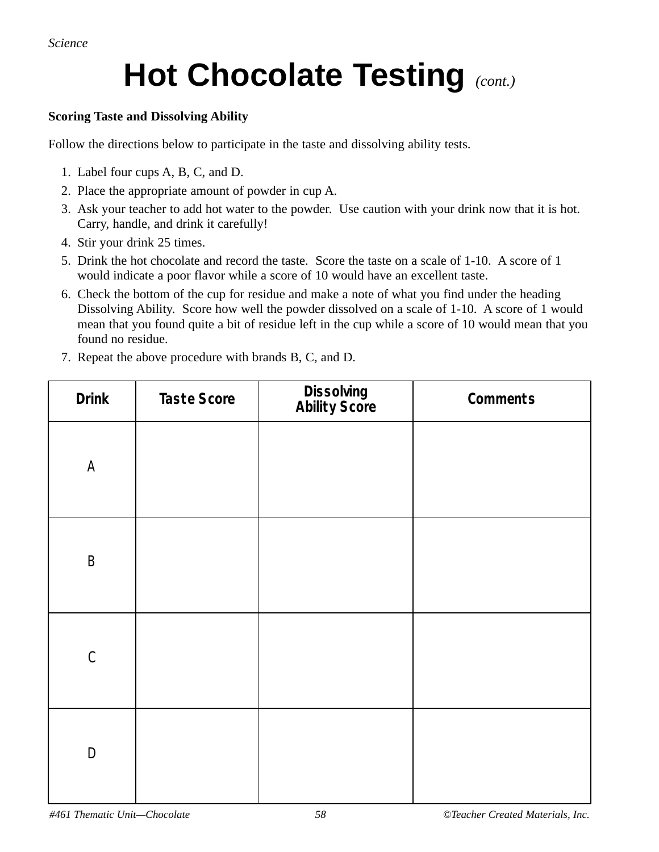*Science*

## **Hot Chocolate Testing** *(cont.)*

#### **Scoring Taste and Dissolving Ability**

Follow the directions below to participate in the taste and dissolving ability tests.

- 1. Label four cups A, B, C, and D.
- 2. Place the appropriate amount of powder in cup A.
- 3. Ask your teacher to add hot water to the powder. Use caution with your drink now that it is hot. Carry, handle, and drink it carefully!
- 4. Stir your drink 25 times.
- 5. Drink the hot chocolate and record the taste. Score the taste on a scale of 1-10. A score of 1 would indicate a poor flavor while a score of 10 would have an excellent taste.
- 6. Check the bottom of the cup for residue and make a note of what you find under the heading Dissolving Ability. Score how well the powder dissolved on a scale of 1-10. A score of 1 would mean that you found quite a bit of residue left in the cup while a score of 10 would mean that you found no residue.
- 7. Repeat the above procedure with brands B, C, and D.

| <b>Drink</b>                     | Taste Score | Dissolving<br>Ability Score | Comments |
|----------------------------------|-------------|-----------------------------|----------|
| $\mathsf A$                      |             |                             |          |
| $\mathsf B$                      |             |                             |          |
| $\mathsf C$                      |             |                             |          |
| $\begin{array}{c} \n\end{array}$ |             |                             |          |